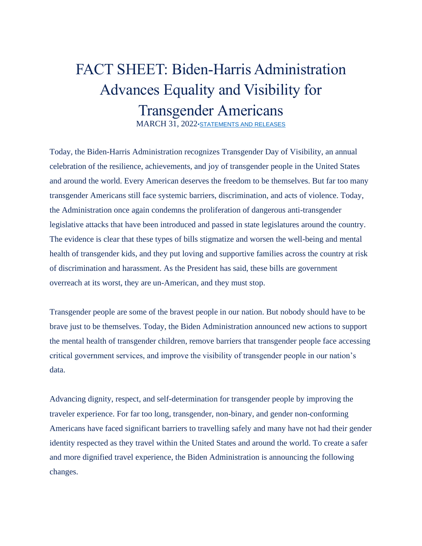## FACT SHEET: Biden-Harris Administration Advances Equality and Visibility for Transgender Americans

MARCH 31, 2022[•STATEMENTS AND RELEASES](https://www.whitehouse.gov/briefing-room/statements-releases/)

Today, the Biden-Harris Administration recognizes Transgender Day of Visibility, an annual celebration of the resilience, achievements, and joy of transgender people in the United States and around the world. Every American deserves the freedom to be themselves. But far too many transgender Americans still face systemic barriers, discrimination, and acts of violence. Today, the Administration once again condemns the proliferation of dangerous anti-transgender legislative attacks that have been introduced and passed in state legislatures around the country. The evidence is clear that these types of bills stigmatize and worsen the well-being and mental health of transgender kids, and they put loving and supportive families across the country at risk of discrimination and harassment. As the President has said, these bills are government overreach at its worst, they are un-American, and they must stop.

Transgender people are some of the bravest people in our nation. But nobody should have to be brave just to be themselves. Today, the Biden Administration announced new actions to support the mental health of transgender children, remove barriers that transgender people face accessing critical government services, and improve the visibility of transgender people in our nation's data.

Advancing dignity, respect, and self-determination for transgender people by improving the traveler experience. For far too long, transgender, non-binary, and gender non-conforming Americans have faced significant barriers to travelling safely and many have not had their gender identity respected as they travel within the United States and around the world. To create a safer and more dignified travel experience, the Biden Administration is announcing the following changes.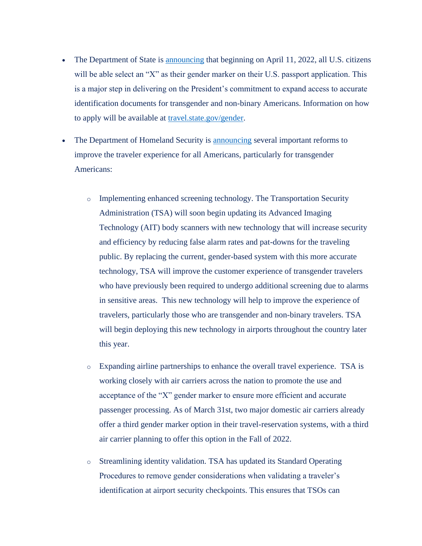- The Department of State is [announcing](https://www.state.gov/press-releases/) that beginning on April 11, 2022, all U.S. citizens will be able select an "X" as their gender marker on their U.S. passport application. This is a major step in delivering on the President's commitment to expand access to accurate identification documents for transgender and non-binary Americans. Information on how to apply will be available at [travel.state.gov/gender.](https://travel.state.gov/content/travel/en/passports/need-passport/selecting-your-gender-marker.html)
- The Department of Homeland Security is [announcing](https://dhs.gov/news/2022/03/31/dhs-announces-new-measures-better-serve-transgender-non-binary-and-gender-non) several important reforms to improve the traveler experience for all Americans, particularly for transgender Americans:
	- o Implementing enhanced screening technology. The Transportation Security Administration (TSA) will soon begin updating its Advanced Imaging Technology (AIT) body scanners with new technology that will increase security and efficiency by reducing false alarm rates and pat-downs for the traveling public. By replacing the current, gender-based system with this more accurate technology, TSA will improve the customer experience of transgender travelers who have previously been required to undergo additional screening due to alarms in sensitive areas. This new technology will help to improve the experience of travelers, particularly those who are transgender and non-binary travelers. TSA will begin deploying this new technology in airports throughout the country later this year.
	- o Expanding airline partnerships to enhance the overall travel experience. TSA is working closely with air carriers across the nation to promote the use and acceptance of the "X" gender marker to ensure more efficient and accurate passenger processing. As of March 31st, two major domestic air carriers already offer a third gender marker option in their travel-reservation systems, with a third air carrier planning to offer this option in the Fall of 2022.
	- o Streamlining identity validation. TSA has updated its Standard Operating Procedures to remove gender considerations when validating a traveler's identification at airport security checkpoints. This ensures that TSOs can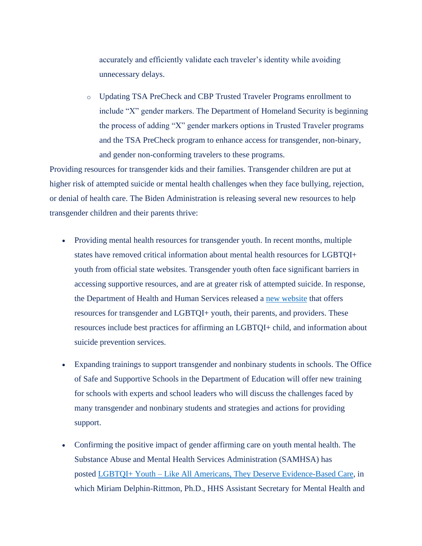accurately and efficiently validate each traveler's identity while avoiding unnecessary delays.

o Updating TSA PreCheck and CBP Trusted Traveler Programs enrollment to include "X" gender markers. The Department of Homeland Security is beginning the process of adding "X" gender markers options in Trusted Traveler programs and the TSA PreCheck program to enhance access for transgender, non-binary, and gender non-conforming travelers to these programs.

Providing resources for transgender kids and their families. Transgender children are put at higher risk of attempted suicide or mental health challenges when they face bullying, rejection, or denial of health care. The Biden Administration is releasing several new resources to help transgender children and their parents thrive:

- Providing mental health resources for transgender youth. In recent months, multiple states have removed critical information about mental health resources for LGBTQI+ youth from official state websites. Transgender youth often face significant barriers in accessing supportive resources, and are at greater risk of attempted suicide. In response, the Department of Health and Human Services released a new [website](http://www.hhs.gov/lgbtqi) that offers resources for transgender and LGBTQI+ youth, their parents, and providers. These resources include best practices for affirming an LGBTQI+ child, and information about suicide prevention services.
- Expanding trainings to support transgender and nonbinary students in schools. The Office of Safe and Supportive Schools in the Department of Education will offer new training for schools with experts and school leaders who will discuss the challenges faced by many transgender and nonbinary students and strategies and actions for providing support.
- Confirming the positive impact of gender affirming care on youth mental health. The Substance Abuse and Mental Health Services Administration (SAMHSA) has posted LGBTQI+ Youth – [Like All Americans, They Deserve Evidence-Based Care,](https://www.samhsa.gov/blog/lgbtqi-youth-all-americans-deserve-evidence-based-care) in which Miriam Delphin-Rittmon, Ph.D., HHS Assistant Secretary for Mental Health and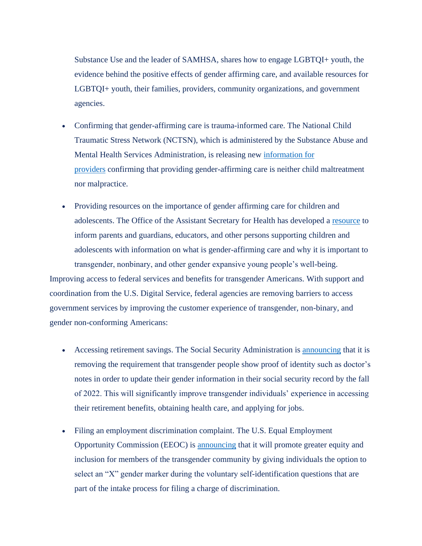Substance Use and the leader of SAMHSA, shares how to engage LGBTQI+ youth, the evidence behind the positive effects of gender affirming care, and available resources for LGBTQI+ youth, their families, providers, community organizations, and government agencies.

- Confirming that gender-affirming care is trauma-informed care. The National Child Traumatic Stress Network (NCTSN), which is administered by the Substance Abuse and Mental Health Services Administration, is releasing new [information for](https://www.nctsn.org/sites/default/files/resources/fact-sheet/gender-affirming-care-is-trauma-informed-care.pdf)  [providers](https://www.nctsn.org/sites/default/files/resources/fact-sheet/gender-affirming-care-is-trauma-informed-care.pdf) confirming that providing gender-affirming care is neither child maltreatment nor malpractice.
- Providing resources on the importance of gender affirming care for children and adolescents. The Office of the Assistant Secretary for Health has developed a [resource](https://opa.hhs.gov/sites/default/files/2022-03/gender-affirming-care-young-people-march-2022.pdf) to inform parents and guardians, educators, and other persons supporting children and adolescents with information on what is gender-affirming care and why it is important to transgender, nonbinary, and other gender expansive young people's well-being. Improving access to federal services and benefits for transgender Americans. With support and coordination from the U.S. Digital Service, federal agencies are removing barriers to access government services by improving the customer experience of transgender, non-binary, and gender non-conforming Americans:
	- Accessing retirement savings. The Social Security Administration is [announcing](https://www.ssa.gov/news/press/releases/) that it is removing the requirement that transgender people show proof of identity such as doctor's notes in order to update their gender information in their social security record by the fall of 2022. This will significantly improve transgender individuals' experience in accessing their retirement benefits, obtaining health care, and applying for jobs.
	- Filing an employment discrimination complaint. The U.S. Equal Employment Opportunity Commission (EEOC) is [announcing](https://www.eeoc.gov/newsroom/eeoc-add-non-binary-gender-option-discrimination-charge-intake-process) that it will promote greater equity and inclusion for members of the transgender community by giving individuals the option to select an "X" gender marker during the voluntary self-identification questions that are part of the intake process for filing a charge of discrimination.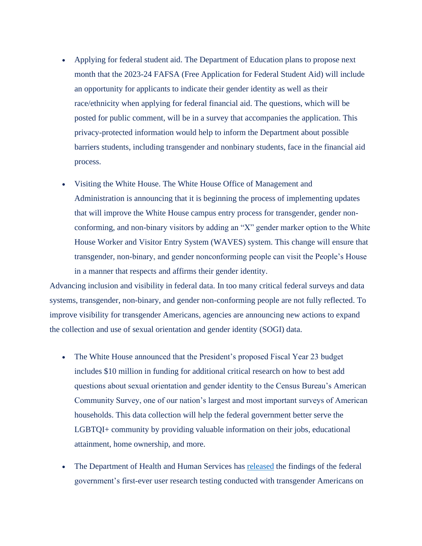- Applying for federal student aid. The Department of Education plans to propose next month that the 2023-24 FAFSA (Free Application for Federal Student Aid) will include an opportunity for applicants to indicate their gender identity as well as their race/ethnicity when applying for federal financial aid. The questions, which will be posted for public comment, will be in a survey that accompanies the application. This privacy-protected information would help to inform the Department about possible barriers students, including transgender and nonbinary students, face in the financial aid process.
- Visiting the White House. The White House Office of Management and Administration is announcing that it is beginning the process of implementing updates that will improve the White House campus entry process for transgender, gender nonconforming, and non-binary visitors by adding an "X" gender marker option to the White House Worker and Visitor Entry System (WAVES) system. This change will ensure that transgender, non-binary, and gender nonconforming people can visit the People's House in a manner that respects and affirms their gender identity.

Advancing inclusion and visibility in federal data. In too many critical federal surveys and data systems, transgender, non-binary, and gender non-conforming people are not fully reflected. To improve visibility for transgender Americans, agencies are announcing new actions to expand the collection and use of sexual orientation and gender identity (SOGI) data.

- The White House announced that the President's proposed Fiscal Year 23 budget includes \$10 million in funding for additional critical research on how to best add questions about sexual orientation and gender identity to the Census Bureau's American Community Survey, one of our nation's largest and most important surveys of American households. This data collection will help the federal government better serve the LGBTQI+ community by providing valuable information on their jobs, educational attainment, home ownership, and more.
- The Department of Health and Human Services has [released](https://wwwn.cdc.gov/QBank/Report.aspx?1225) the findings of the federal government's first-ever user research testing conducted with transgender Americans on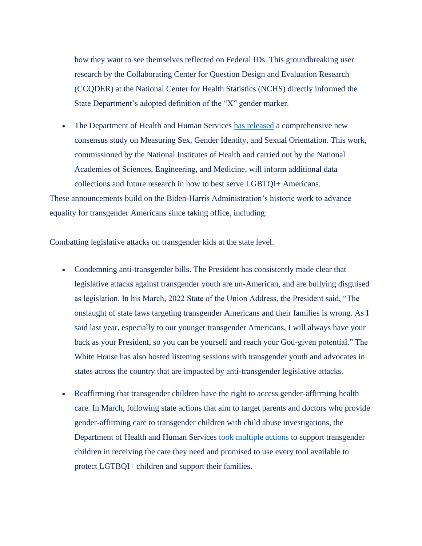how they want to see themselves reflected on Federal IDs. This groundbreaking user research by the Collaborating Center for Question Design and Evaluation Research (CCQDER) at the National Center for Health Statistics (NCHS) directly informed the State Department's adopted definition of the "X" gender marker.

• The Department of Health and Human Services [has released](https://www.nih.gov/about-nih/who-we-are/nih-director/statements/nih-funded-nasem-report-highlights-critical-need-sgm-related-data-collection) a comprehensive new consensus study on Measuring Sex, Gender Identity, and Sexual Orientation. This work, commissioned by the National Institutes of Health and carried out by the National Academies of Sciences, Engineering, and Medicine, will inform additional data collections and future research in how to best serve LGBTQI+ Americans.

These announcements build on the Biden-Harris Administration's historic work to advance equality for transgender Americans since taking office, including:

Combatting legislative attacks on transgender kids at the state level.

- Condemning anti-transgender bills. The President has consistently made clear that legislative attacks against transgender youth are un-American, and are bullying disguised as legislation. In his March, 2022 State of the Union Address, the President said, "The onslaught of state laws targeting transgender Americans and their families is wrong. As I said last year, especially to our younger transgender Americans, I will always have your back as your President, so you can be yourself and reach your God-given potential." The White House has also hosted listening sessions with transgender youth and advocates in states across the country that are impacted by anti-transgender legislative attacks.
- Reaffirming that transgender children have the right to access gender-affirming health care. In March, following state actions that aim to target parents and doctors who provide gender-affirming care to transgender children with child abuse investigations, the Department of Health and Human Services [took multiple actions](https://www.hhs.gov/about/news/2022/03/02/statement-hhs-secretary-xavier-becerra-reaffirming-hhs-support-and-protection-for-lgbtqi-children-and-youth.html) to support transgender children in receiving the care they need and promised to use every tool available to protect LGTBQI+ children and support their families.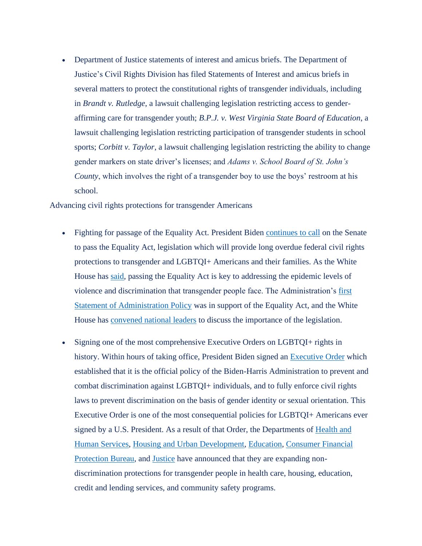• Department of Justice statements of interest and amicus briefs. The Department of Justice's Civil Rights Division has filed Statements of Interest and amicus briefs in several matters to protect the constitutional rights of transgender individuals, including in *Brandt v. Rutledge*, a lawsuit challenging legislation restricting access to genderaffirming care for transgender youth; *B.P.J. v. West Virginia State Board of Education*, a lawsuit challenging legislation restricting participation of transgender students in school sports; *Corbitt v. Taylor*, a lawsuit challenging legislation restricting the ability to change gender markers on state driver's licenses; and *Adams v. School Board of St. John's County*, which involves the right of a transgender boy to use the boys' restroom at his school.

Advancing civil rights protections for transgender Americans

- Fighting for passage of the Equality Act. President Biden [continues to call](https://www.whitehouse.gov/briefing-room/statements-releases/2021/06/25/fact-sheet-the-equality-act-will-provide-long-overdue-civil-rights-protections-for-millions-of-americans/) on the Senate to pass the Equality Act, legislation which will provide long overdue federal civil rights protections to transgender and LGBTQI+ Americans and their families. As the White House has [said,](https://www.whitehouse.gov/briefing-room/statements-releases/2021/06/25/fact-sheet-the-equality-act-will-provide-long-overdue-civil-rights-protections-for-millions-of-americans/) passing the Equality Act is key to addressing the epidemic levels of violence and discrimination that transgender people face. The Administration's [first](https://www.whitehouse.gov/wp-content/uploads/2021/02/SAP_HR-5.pdf)  [Statement of Administration Policy](https://www.whitehouse.gov/wp-content/uploads/2021/02/SAP_HR-5.pdf) was in support of the Equality Act, and the White House has [convened national leaders](https://www.whitehouse.gov/briefing-room/statements-releases/2021/06/21/readout-of-white-house-roundtable-with-lgbtq-advocates-on-the-equality-act-and-achieving-full-equality-for-lgbtq-americans/) to discuss the importance of the legislation.
- Signing one of the most comprehensive Executive Orders on LGBTQI+ rights in history. Within hours of taking office, President Biden signed an [Executive Order](https://www.whitehouse.gov/briefing-room/presidential-actions/2021/01/20/executive-order-preventing-and-combating-discrimination-on-basis-of-gender-identity-or-sexual-orientation/) which established that it is the official policy of the Biden-Harris Administration to prevent and combat discrimination against LGBTQI+ individuals, and to fully enforce civil rights laws to prevent discrimination on the basis of gender identity or sexual orientation. This Executive Order is one of the most consequential policies for LGBTQI+ Americans ever signed by a U.S. President. As a result of that Order, the Departments of [Health and](https://www.hhs.gov/about/news/2021/05/10/hhs-announces-prohibition-sex-discrimination-includes-discrimination-basis-sexual-orientation-gender-identity.html)  [Human Services,](https://www.hhs.gov/about/news/2021/05/10/hhs-announces-prohibition-sex-discrimination-includes-discrimination-basis-sexual-orientation-gender-identity.html) [Housing and Urban Development,](https://www.hud.gov/press/press_releases_media_advisories/hud_no_21_021) [Education,](https://www.ed.gov/news/press-releases/us-department-education-confirms-title-ix-protects-students-discrimination-based-sexual-orientation-and-gender-identity) [Consumer Financial](https://www.consumerfinance.gov/about-us/newsroom/cfpb-clarifies-discrimination-by-lenders-on-basis-of-sexual-orientation-and-gender-identity-is-illegal/)  [Protection Bureau,](https://www.consumerfinance.gov/about-us/newsroom/cfpb-clarifies-discrimination-by-lenders-on-basis-of-sexual-orientation-and-gender-identity-is-illegal/) and [Justice](https://www.justice.gov/crt/page/file/1383026/download) have announced that they are expanding nondiscrimination protections for transgender people in health care, housing, education, credit and lending services, and community safety programs.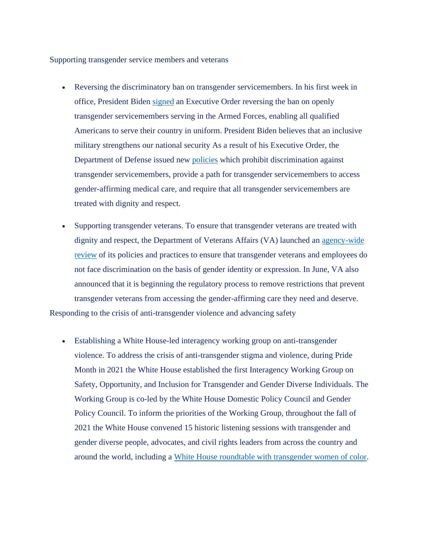Supporting transgender service members and veterans

- Reversing the discriminatory ban on transgender servicemembers. In his first week in office, President Biden [signed](https://www.whitehouse.gov/briefing-room/statements-releases/2021/01/25/fact-sheet-president-biden-signs-executive-order-enabling-all-qualified-americans-to-serve-their-country-in-uniform/) an Executive Order reversing the ban on openly transgender servicemembers serving in the Armed Forces, enabling all qualified Americans to serve their country in uniform. President Biden believes that an inclusive military strengthens our national security As a result of his Executive Order, the Department of Defense issued new [policies](https://www.defense.gov/Newsroom/Releases/Release/Article/2557220/dod-announces-policy-updates-for-transgender-military-service/) which prohibit discrimination against transgender servicemembers, provide a path for transgender servicemembers to access gender-affirming medical care, and require that all transgender servicemembers are treated with dignity and respect.
- Supporting transgender veterans. To ensure that transgender veterans are treated with dignity and respect, the Department of Veterans Affairs (VA) launched an [agency-wide](https://blogs.va.gov/VAntage/85152/secretary-orders-review-vas-transgender-policies/)  [review](https://blogs.va.gov/VAntage/85152/secretary-orders-review-vas-transgender-policies/) of its policies and practices to ensure that transgender veterans and employees do not face discrimination on the basis of gender identity or expression. In June, VA also announced that it is beginning the regulatory process to remove restrictions that prevent transgender veterans from accessing the gender-affirming care they need and deserve. Responding to the crisis of anti-transgender violence and advancing safety
	- Establishing a White House-led interagency working group on anti-transgender violence. To address the crisis of anti-transgender stigma and violence, during Pride Month in 2021 the White House established the first Interagency Working Group on Safety, Opportunity, and Inclusion for Transgender and Gender Diverse Individuals. The Working Group is co-led by the White House Domestic Policy Council and Gender Policy Council. To inform the priorities of the Working Group, throughout the fall of 2021 the White House convened 15 historic listening sessions with transgender and gender diverse people, advocates, and civil rights leaders from across the country and around the world, including a [White House roundtable with transgender women of color.](https://www.whitehouse.gov/briefing-room/statements-releases/2021/07/23/readout-of-white-house-roundtable-with-transgender-women-of-color-advocates/)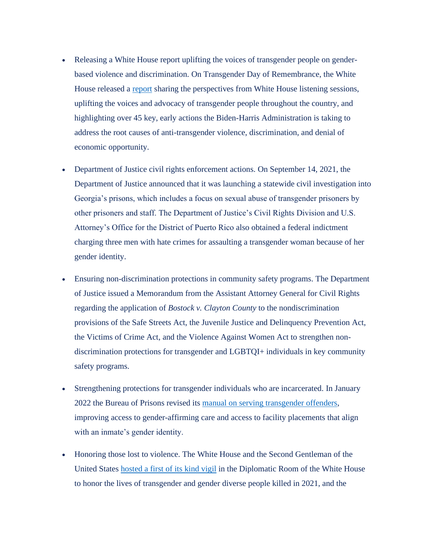- Releasing a White House report uplifting the voices of transgender people on genderbased violence and discrimination. On Transgender Day of Remembrance, the White House released a [report](https://www.whitehouse.gov/wp-content/uploads/2021/11/Report_Memorializing-Transgender-Day-of-Remembrance_FINAL-002.pdf) sharing the perspectives from White House listening sessions, uplifting the voices and advocacy of transgender people throughout the country, and highlighting over 45 key, early actions the Biden-Harris Administration is taking to address the root causes of anti-transgender violence, discrimination, and denial of economic opportunity.
- Department of Justice civil rights enforcement actions. On September 14, 2021, the Department of Justice announced that it was launching a statewide civil investigation into Georgia's prisons, which includes a focus on sexual abuse of transgender prisoners by other prisoners and staff. The Department of Justice's Civil Rights Division and U.S. Attorney's Office for the District of Puerto Rico also obtained a federal indictment charging three men with hate crimes for assaulting a transgender woman because of her gender identity.
- Ensuring non-discrimination protections in community safety programs. The Department of Justice issued a Memorandum from the Assistant Attorney General for Civil Rights regarding the application of *Bostock v. Clayton County* to the nondiscrimination provisions of the Safe Streets Act, the Juvenile Justice and Delinquency Prevention Act, the Victims of Crime Act, and the Violence Against Women Act to strengthen nondiscrimination protections for transgender and LGBTQI+ individuals in key community safety programs.
- Strengthening protections for transgender individuals who are incarcerated. In January 2022 the Bureau of Prisons revised its [manual on serving transgender offenders,](https://www.bop.gov/policy/progstat/5200-08-cn-1.pdf) improving access to gender-affirming care and access to facility placements that align with an inmate's gender identity.
- Honoring those lost to violence. The White House and the Second Gentleman of the United States [hosted a first of its kind vigil](https://www.whitehouse.gov/briefing-room/statements-releases/2021/11/20/biden-harris-administration-memorializes-transgender-day-of-remembrance/) in the Diplomatic Room of the White House to honor the lives of transgender and gender diverse people killed in 2021, and the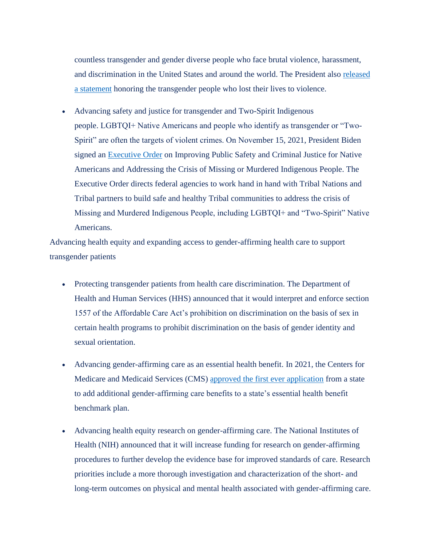countless transgender and gender diverse people who face brutal violence, harassment, and discrimination in the United States and around the world. The President also [released](https://www.whitehouse.gov/briefing-room/statements-releases/2021/11/20/statement-by-president-biden-on-transgender-day-of-remembrance/)  [a statement](https://www.whitehouse.gov/briefing-room/statements-releases/2021/11/20/statement-by-president-biden-on-transgender-day-of-remembrance/) honoring the transgender people who lost their lives to violence.

• Advancing safety and justice for transgender and Two-Spirit Indigenous people. LGBTQI+ Native Americans and people who identify as transgender or "Two-Spirit" are often the targets of violent crimes. On November 15, 2021, President Biden signed an [Executive Order](https://www.whitehouse.gov/briefing-room/presidential-actions/2021/11/15/executive-order-on-improving-public-safety-and-criminal-justice-for-native-americans-and-addressing-the-crisis-of-missing-or-murdered-indigenous-people/) on Improving Public Safety and Criminal Justice for Native Americans and Addressing the Crisis of Missing or Murdered Indigenous People. The Executive Order directs federal agencies to work hand in hand with Tribal Nations and Tribal partners to build safe and healthy Tribal communities to address the crisis of Missing and Murdered Indigenous People, including LGBTQI+ and "Two-Spirit" Native Americans.

Advancing health equity and expanding access to gender-affirming health care to support transgender patients

- Protecting transgender patients from health care discrimination. The Department of Health and Human Services (HHS) announced that it would interpret and enforce section 1557 of the Affordable Care Act's prohibition on discrimination on the basis of sex in certain health programs to prohibit discrimination on the basis of gender identity and sexual orientation.
- Advancing gender-affirming care as an essential health benefit. In 2021, the Centers for Medicare and Medicaid Services (CMS) [approved the first ever application](https://www.hhs.gov/about/news/2021/10/12/biden-harris-administration-greenlights-coverage-of-lgbtqplus-care-as-an-essential-health-benefit-in-colorado.html) from a state to add additional gender-affirming care benefits to a state's essential health benefit benchmark plan.
- Advancing health equity research on gender-affirming care. The National Institutes of Health (NIH) announced that it will increase funding for research on gender-affirming procedures to further develop the evidence base for improved standards of care. Research priorities include a more thorough investigation and characterization of the short- and long-term outcomes on physical and mental health associated with gender-affirming care.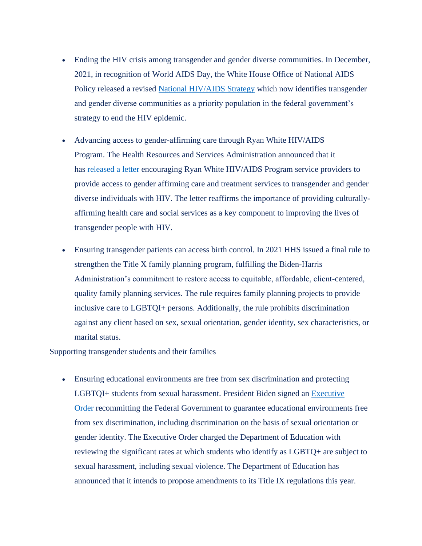- Ending the HIV crisis among transgender and gender diverse communities. In December, 2021, in recognition of World AIDS Day, the White House Office of National AIDS Policy released a revised [National HIV/AIDS Strategy](https://www.whitehouse.gov/wp-content/uploads/2021/11/National-HIV-AIDS-Strategy.pdf) which now identifies transgender and gender diverse communities as a priority population in the federal government's strategy to end the HIV epidemic.
- Advancing access to gender-affirming care through Ryan White HIV/AIDS Program. The Health Resources and Services Administration announced that it has [released a letter](https://www.whitehouse.gov/u7061146.ct.sendgrid.net/ls/click%3fupn=4tNED-2FM8iDZJQyQ53jATUffNQhtYvOpiuSRaC-2F4LSy-2Bj1SuPUAXHoNdNn9q9oFOQS9Nhz1qjZJNZp-2Ff2RK0FXodwnX88jc39FC5-2Fc00WWlsnil9dn1MUdFYWQJiSGClpd7L0xVfVp-2BKxkM3v44Ab7g-3D-3DV4xf_Xf3x-2BcxLrh1CYXAqA-2F7-2BWm21M7h4ZLED4PAP1PaElDgY0mFch3xXnAO0P1-2BCmes80gceN9KPIPmmVTe-2FZvofsrS-2B6orEDnpwW3460K-2B2YXenyFRimr79v3Ldrh68m1dzXBKNduInnCZHAqU-2FkPiPrRLzXijR5wAo4xxaoYPMnGVEmH-2F1EoJpkVWHi4fT0-2BrtP5b0YN8obnfs7IrXE24Z4oXNTSTlz9JCP38U1es-2BRAVss7Y7ISWRYbFpJ78050IWtyWV-2FRMB9IwNzX4mQJ72GHaGbiz2s3o7VHxkNha0ZLiT3UNBkooP6XBfSWK9ZvRObgf2WnxRQzqOj4LdgsNEEfkken-2FmPkv-2BilC-2FTbGT6ks-3D%3c) encouraging Ryan White HIV/AIDS Program service providers to provide access to gender affirming care and treatment services to transgender and gender diverse individuals with HIV. The letter reaffirms the importance of providing culturallyaffirming health care and social services as a key component to improving the lives of transgender people with HIV.
- Ensuring transgender patients can access birth control. In 2021 HHS issued a final rule to strengthen the Title X family planning program, fulfilling the Biden-Harris Administration's commitment to restore access to equitable, affordable, client-centered, quality family planning services. The rule requires family planning projects to provide inclusive care to LGBTQI+ persons. Additionally, the rule prohibits discrimination against any client based on sex, sexual orientation, gender identity, sex characteristics, or marital status.

Supporting transgender students and their families

• Ensuring educational environments are free from sex discrimination and protecting LGBTQI+ students from sexual harassment. President Biden signed an [Executive](https://www.whitehouse.gov/briefing-room/presidential-actions/2021/03/08/executive-order-on-guaranteeing-an-educational-environment-free-from-discrimination-on-the-basis-of-sex-including-sexual-orientation-or-gender-identity/)  [Order](https://www.whitehouse.gov/briefing-room/presidential-actions/2021/03/08/executive-order-on-guaranteeing-an-educational-environment-free-from-discrimination-on-the-basis-of-sex-including-sexual-orientation-or-gender-identity/) recommitting the Federal Government to guarantee educational environments free from sex discrimination, including discrimination on the basis of sexual orientation or gender identity. The Executive Order charged the Department of Education with reviewing the significant rates at which students who identify as LGBTQ+ are subject to sexual harassment, including sexual violence. The Department of Education has announced that it intends to propose amendments to its Title IX regulations this year.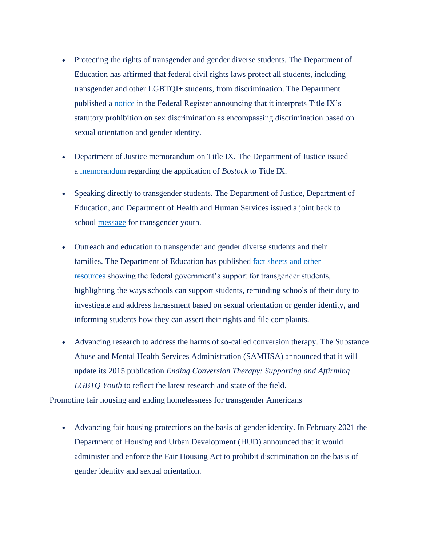- Protecting the rights of transgender and gender diverse students. The Department of Education has affirmed that federal civil rights laws protect all students, including transgender and other LGBTQI+ students, from discrimination. The Department published a [notice](https://www.govinfo.gov/content/pkg/FR-2021-06-22/pdf/2021-13058.pdf) in the Federal Register announcing that it interprets Title IX's statutory prohibition on sex discrimination as encompassing discrimination based on sexual orientation and gender identity.
- Department of Justice memorandum on Title IX. The Department of Justice issued a [memorandum](https://www.whitehouse.gov/%3ewww.justice.gov/crt/page/file/1383026/download%3c%3c) regarding the application of *Bostock* to Title IX.
- Speaking directly to transgender students. The Department of Justice, Department of Education, and Department of Health and Human Services issued a joint back to school [message](https://www.whitehouse.gov/www.justice.gov/opa/video/back-school-message-transgender-students-us-department-justice-us-department-education-and%3c) for transgender youth.
- Outreach and education to transgender and gender diverse students and their families. The Department of Education has published [fact sheets and other](http://www.ed.gov/ocr/lgbt.html)  [resources](http://www.ed.gov/ocr/lgbt.html) showing the federal government's support for transgender students, highlighting the ways schools can support students, reminding schools of their duty to investigate and address harassment based on sexual orientation or gender identity, and informing students how they can assert their rights and file complaints.
- Advancing research to address the harms of so-called conversion therapy. The Substance Abuse and Mental Health Services Administration (SAMHSA) announced that it will update its 2015 publication *Ending Conversion Therapy: Supporting and Affirming LGBTQ Youth* to reflect the latest research and state of the field.

Promoting fair housing and ending homelessness for transgender Americans

• Advancing fair housing protections on the basis of gender identity. In February 2021 the Department of Housing and Urban Development (HUD) announced that it would administer and enforce the Fair Housing Act to prohibit discrimination on the basis of gender identity and sexual orientation.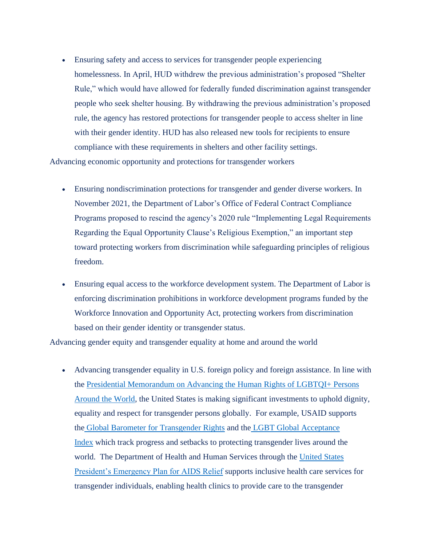• Ensuring safety and access to services for transgender people experiencing homelessness. In April, HUD withdrew the previous administration's proposed "Shelter Rule," which would have allowed for federally funded discrimination against transgender people who seek shelter housing. By withdrawing the previous administration's proposed rule, the agency has restored protections for transgender people to access shelter in line with their gender identity. HUD has also released new tools for recipients to ensure compliance with these requirements in shelters and other facility settings.

Advancing economic opportunity and protections for transgender workers

- Ensuring nondiscrimination protections for transgender and gender diverse workers. In November 2021, the Department of Labor's Office of Federal Contract Compliance Programs proposed to rescind the agency's 2020 rule "Implementing Legal Requirements Regarding the Equal Opportunity Clause's Religious Exemption," an important step toward protecting workers from discrimination while safeguarding principles of religious freedom.
- Ensuring equal access to the workforce development system. The Department of Labor is enforcing discrimination prohibitions in workforce development programs funded by the Workforce Innovation and Opportunity Act, protecting workers from discrimination based on their gender identity or transgender status.

Advancing gender equity and transgender equality at home and around the world

• Advancing transgender equality in U.S. foreign policy and foreign assistance. In line with the [Presidential Memorandum on Advancing the Human Rights of LGBTQI+ Persons](https://www.whitehouse.gov/briefing-room/presidential-actions/2021/02/04/memorandum-advancing-the-human-rights-of-lesbian-gay-bisexual-transgender-queer-and-intersex-persons-around-the-world/)  [Around the World,](https://www.whitehouse.gov/briefing-room/presidential-actions/2021/02/04/memorandum-advancing-the-human-rights-of-lesbian-gay-bisexual-transgender-queer-and-intersex-persons-around-the-world/) the United States is making significant investments to uphold dignity, equality and respect for transgender persons globally. For example, USAID supports the [Global Barometer for Transgender Rights](https://www.whitehouse.gov/www.fandmglobalbarometers.org/%3c) and the [LGBT Global Acceptance](https://www.whitehouse.gov/williamsinstitute.law.ucla.edu/projects/gai/%3c)  [Index](https://www.whitehouse.gov/williamsinstitute.law.ucla.edu/projects/gai/%3c) which track progress and setbacks to protecting transgender lives around the world. The Department of Health and Human Services through the [United States](https://www.state.gov/pepfar/)  [President's Emergency Plan for AIDS Relief](https://www.state.gov/pepfar/) supports inclusive health care services for transgender individuals, enabling health clinics to provide care to the transgender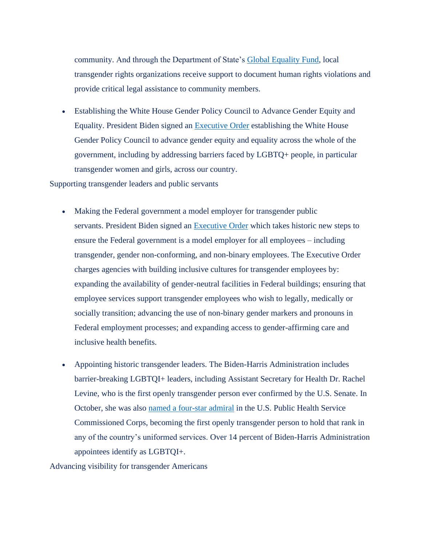community. And through the Department of State's [Global Equality Fund,](https://www.state.gov/global-equality-fund/) local transgender rights organizations receive support to document human rights violations and provide critical legal assistance to community members.

• Establishing the White House Gender Policy Council to Advance Gender Equity and Equality. President Biden signed an [Executive Order](https://www.whitehouse.gov/briefing-room/presidential-actions/2021/03/08/executive-order-on-establishment-of-the-white-house-gender-policy-council/) establishing the White House Gender Policy Council to advance gender equity and equality across the whole of the government, including by addressing barriers faced by LGBTQ+ people, in particular transgender women and girls, across our country.

Supporting transgender leaders and public servants

- Making the Federal government a model employer for transgender public servants. President Biden signed an [Executive Order](https://www.whitehouse.gov/briefing-room/presidential-actions/2021/06/25/executive-order-on-diversity-equity-inclusion-and-accessibility-in-the-federal-workforce/) which takes historic new steps to ensure the Federal government is a model employer for all employees – including transgender, gender non-conforming, and non-binary employees. The Executive Order charges agencies with building inclusive cultures for transgender employees by: expanding the availability of gender-neutral facilities in Federal buildings; ensuring that employee services support transgender employees who wish to legally, medically or socially transition; advancing the use of non-binary gender markers and pronouns in Federal employment processes; and expanding access to gender-affirming care and inclusive health benefits.
- Appointing historic transgender leaders. The Biden-Harris Administration includes barrier-breaking LGBTQI+ leaders, including Assistant Secretary for Health Dr. Rachel Levine, who is the first openly transgender person ever confirmed by the U.S. Senate. In October, she was also [named a four-star admiral](https://www.hhs.gov/about/news/2021/10/19/statements-officials-us-department-health-and-human-services-commemorating-first-openly-transgender-four-star-officer-first-female-four-star-admiral.html) in the U.S. Public Health Service Commissioned Corps, becoming the first openly transgender person to hold that rank in any of the country's uniformed services. Over 14 percent of Biden-Harris Administration appointees identify as LGBTQI+.

Advancing visibility for transgender Americans